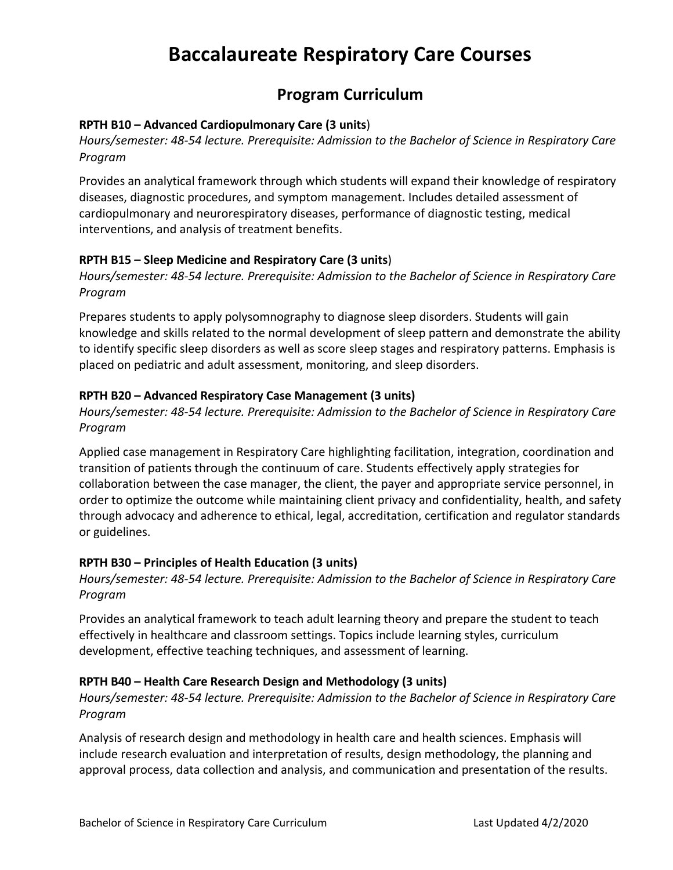# **Baccalaureate Respiratory Care Courses**

# **Program Curriculum**

#### **RPTH B10 – Advanced Cardiopulmonary Care (3 units**)

*Hours/semester: 48-54 lecture. Prerequisite: Admission to the Bachelor of Science in Respiratory Care Program*

Provides an analytical framework through which students will expand their knowledge of respiratory diseases, diagnostic procedures, and symptom management. Includes detailed assessment of cardiopulmonary and neurorespiratory diseases, performance of diagnostic testing, medical interventions, and analysis of treatment benefits.

#### **RPTH B15 – Sleep Medicine and Respiratory Care (3 units**)

*Hours/semester: 48-54 lecture. Prerequisite: Admission to the Bachelor of Science in Respiratory Care Program*

Prepares students to apply polysomnography to diagnose sleep disorders. Students will gain knowledge and skills related to the normal development of sleep pattern and demonstrate the ability to identify specific sleep disorders as well as score sleep stages and respiratory patterns. Emphasis is placed on pediatric and adult assessment, monitoring, and sleep disorders.

#### **RPTH B20 – Advanced Respiratory Case Management (3 units)**

*Hours/semester: 48-54 lecture. Prerequisite: Admission to the Bachelor of Science in Respiratory Care Program*

Applied case management in Respiratory Care highlighting facilitation, integration, coordination and transition of patients through the continuum of care. Students effectively apply strategies for collaboration between the case manager, the client, the payer and appropriate service personnel, in order to optimize the outcome while maintaining client privacy and confidentiality, health, and safety through advocacy and adherence to ethical, legal, accreditation, certification and regulator standards or guidelines.

#### **RPTH B30 – Principles of Health Education (3 units)**

*Hours/semester: 48-54 lecture. Prerequisite: Admission to the Bachelor of Science in Respiratory Care Program* 

Provides an analytical framework to teach adult learning theory and prepare the student to teach effectively in healthcare and classroom settings. Topics include learning styles, curriculum development, effective teaching techniques, and assessment of learning.

#### **RPTH B40 – Health Care Research Design and Methodology (3 units)**

*Hours/semester: 48-54 lecture. Prerequisite: Admission to the Bachelor of Science in Respiratory Care Program* 

Analysis of research design and methodology in health care and health sciences. Emphasis will include research evaluation and interpretation of results, design methodology, the planning and approval process, data collection and analysis, and communication and presentation of the results.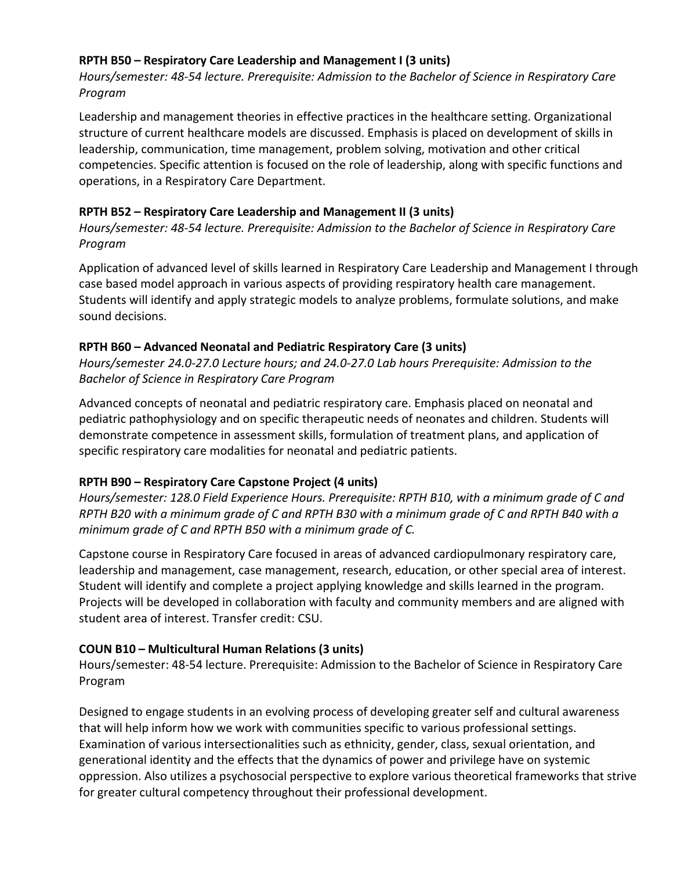# **RPTH B50 – Respiratory Care Leadership and Management I (3 units)**

*Hours/semester: 48-54 lecture. Prerequisite: Admission to the Bachelor of Science in Respiratory Care Program* 

Leadership and management theories in effective practices in the healthcare setting. Organizational structure of current healthcare models are discussed. Emphasis is placed on development of skills in leadership, communication, time management, problem solving, motivation and other critical competencies. Specific attention is focused on the role of leadership, along with specific functions and operations, in a Respiratory Care Department.

# **RPTH B52 – Respiratory Care Leadership and Management II (3 units)**

*Hours/semester: 48-54 lecture. Prerequisite: Admission to the Bachelor of Science in Respiratory Care Program* 

Application of advanced level of skills learned in Respiratory Care Leadership and Management I through case based model approach in various aspects of providing respiratory health care management. Students will identify and apply strategic models to analyze problems, formulate solutions, and make sound decisions.

#### **RPTH B60 – Advanced Neonatal and Pediatric Respiratory Care (3 units)**

*Hours/semester 24.0-27.0 Lecture hours; and 24.0-27.0 Lab hours Prerequisite: Admission to the Bachelor of Science in Respiratory Care Program* 

Advanced concepts of neonatal and pediatric respiratory care. Emphasis placed on neonatal and pediatric pathophysiology and on specific therapeutic needs of neonates and children. Students will demonstrate competence in assessment skills, formulation of treatment plans, and application of specific respiratory care modalities for neonatal and pediatric patients.

# **RPTH B90 – Respiratory Care Capstone Project (4 units)**

*Hours/semester: 128.0 Field Experience Hours. Prerequisite: RPTH B10, with a minimum grade of C and RPTH B20 with a minimum grade of C and RPTH B30 with a minimum grade of C and RPTH B40 with a minimum grade of C and RPTH B50 with a minimum grade of C.* 

Capstone course in Respiratory Care focused in areas of advanced cardiopulmonary respiratory care, leadership and management, case management, research, education, or other special area of interest. Student will identify and complete a project applying knowledge and skills learned in the program. Projects will be developed in collaboration with faculty and community members and are aligned with student area of interest. Transfer credit: CSU.

# **COUN B10 – Multicultural Human Relations (3 units)**

Hours/semester: 48-54 lecture. Prerequisite: Admission to the Bachelor of Science in Respiratory Care Program

Designed to engage students in an evolving process of developing greater self and cultural awareness that will help inform how we work with communities specific to various professional settings. Examination of various intersectionalities such as ethnicity, gender, class, sexual orientation, and generational identity and the effects that the dynamics of power and privilege have on systemic oppression. Also utilizes a psychosocial perspective to explore various theoretical frameworks that strive for greater cultural competency throughout their professional development.